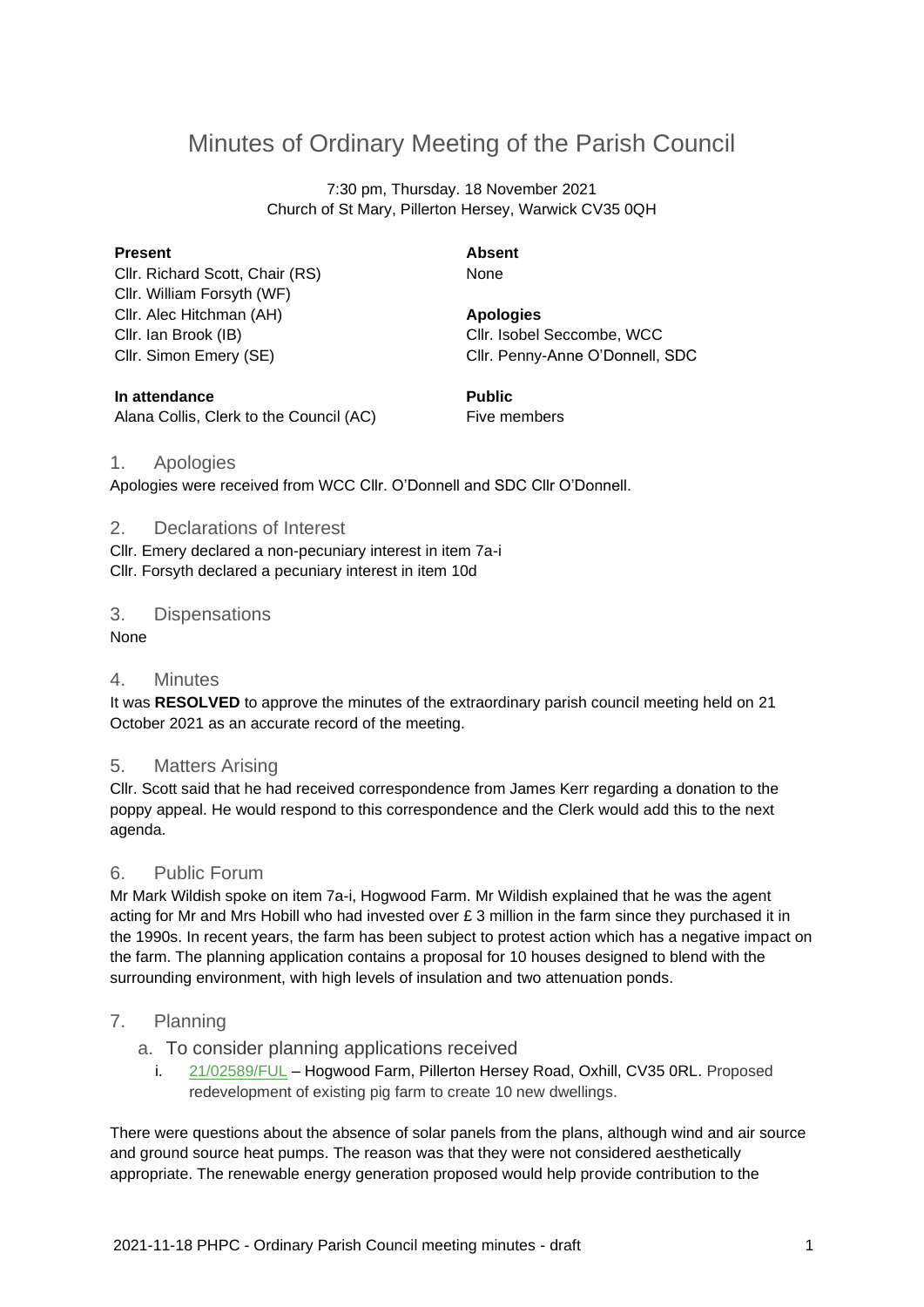# Minutes of Ordinary Meeting of the Parish Council

7:30 pm, Thursday. 18 November 2021 Church of St Mary, Pillerton Hersey, Warwick CV35 0QH

#### **Present**

Cllr. Richard Scott, Chair (RS) Cllr. William Forsyth (WF) Cllr. Alec Hitchman (AH) Cllr. Ian Brook (IB) Cllr. Simon Emery (SE)

**Absent** None

**Apologies** Cllr. Isobel Seccombe, WCC Cllr. Penny-Anne O'Donnell, SDC

**In attendance** Alana Collis, Clerk to the Council (AC) **Public** Five members

### 1. Apologies

Apologies were received from WCC Cllr. O'Donnell and SDC Cllr O'Donnell.

### 2. Declarations of Interest

Cllr. Emery declared a non-pecuniary interest in item 7a-i Cllr. Forsyth declared a pecuniary interest in item 10d

### 3. Dispensations

None

#### 4. Minutes

It was **RESOLVED** to approve the minutes of the extraordinary parish council meeting held on 21 October 2021 as an accurate record of the meeting.

#### 5. Matters Arising

Cllr. Scott said that he had received correspondence from James Kerr regarding a donation to the poppy appeal. He would respond to this correspondence and the Clerk would add this to the next agenda.

### 6. Public Forum

Mr Mark Wildish spoke on item 7a-i, Hogwood Farm. Mr Wildish explained that he was the agent acting for Mr and Mrs Hobill who had invested over  $E$  3 million in the farm since they purchased it in the 1990s. In recent years, the farm has been subject to protest action which has a negative impact on the farm. The planning application contains a proposal for 10 houses designed to blend with the surrounding environment, with high levels of insulation and two attenuation ponds.

# 7. Planning

a. To consider planning applications received

i. [21/02589/FUL](https://apps.stratford.gov.uk/eplanning/AppDetail.aspx?appkey=QXOKFHPMJSF00) – Hogwood Farm, Pillerton Hersey Road, Oxhill, CV35 0RL. Proposed redevelopment of existing pig farm to create 10 new dwellings.

There were questions about the absence of solar panels from the plans, although wind and air source and ground source heat pumps. The reason was that they were not considered aesthetically appropriate. The renewable energy generation proposed would help provide contribution to the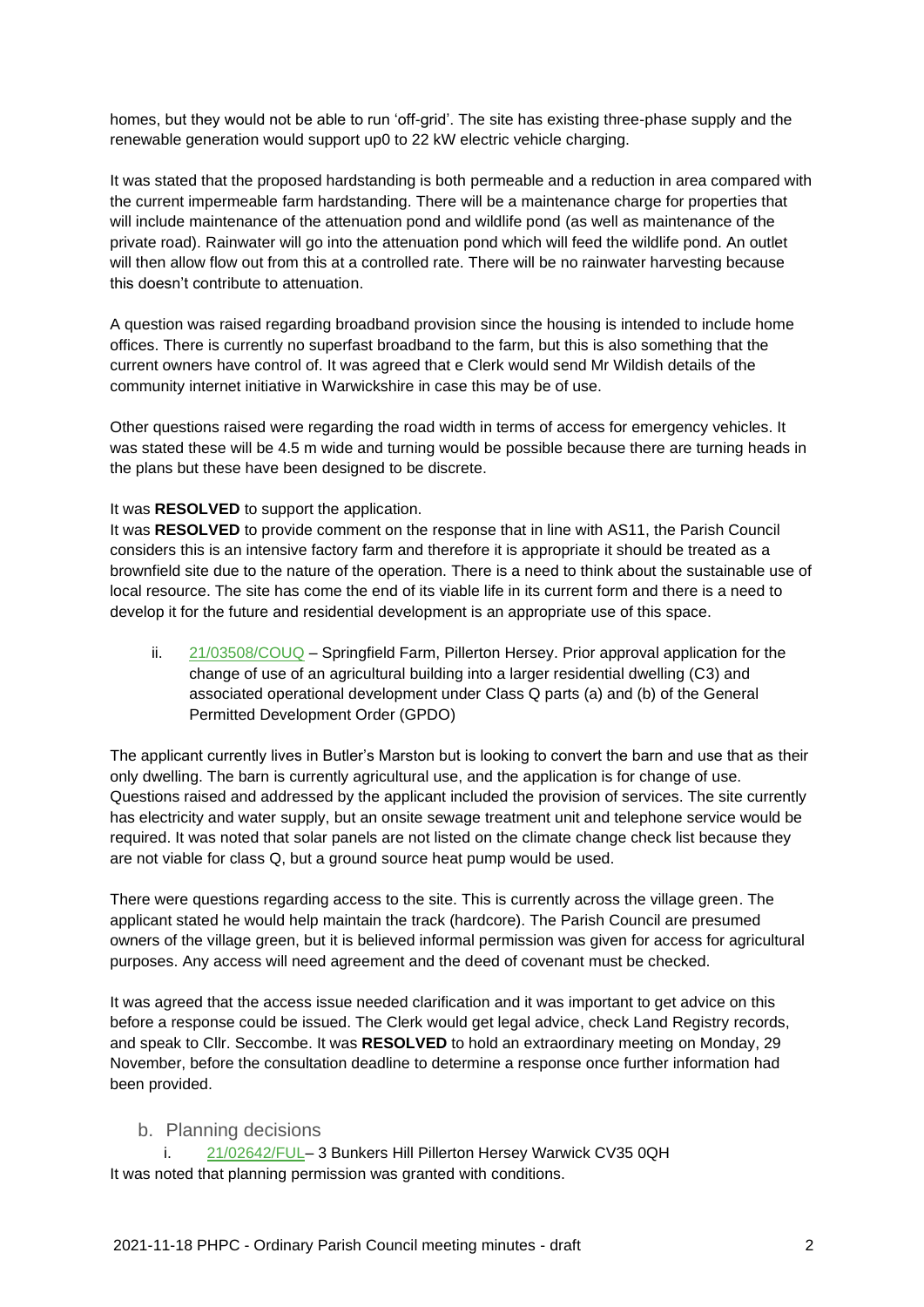homes, but they would not be able to run 'off-grid'. The site has existing three-phase supply and the renewable generation would support up0 to 22 kW electric vehicle charging.

It was stated that the proposed hardstanding is both permeable and a reduction in area compared with the current impermeable farm hardstanding. There will be a maintenance charge for properties that will include maintenance of the attenuation pond and wildlife pond (as well as maintenance of the private road). Rainwater will go into the attenuation pond which will feed the wildlife pond. An outlet will then allow flow out from this at a controlled rate. There will be no rainwater harvesting because this doesn't contribute to attenuation.

A question was raised regarding broadband provision since the housing is intended to include home offices. There is currently no superfast broadband to the farm, but this is also something that the current owners have control of. It was agreed that e Clerk would send Mr Wildish details of the community internet initiative in Warwickshire in case this may be of use.

Other questions raised were regarding the road width in terms of access for emergency vehicles. It was stated these will be 4.5 m wide and turning would be possible because there are turning heads in the plans but these have been designed to be discrete.

#### It was **RESOLVED** to support the application.

It was **RESOLVED** to provide comment on the response that in line with AS11, the Parish Council considers this is an intensive factory farm and therefore it is appropriate it should be treated as a brownfield site due to the nature of the operation. There is a need to think about the sustainable use of local resource. The site has come the end of its viable life in its current form and there is a need to develop it for the future and residential development is an appropriate use of this space.

ii. [21/03508/COUQ](https://apps.stratford.gov.uk/eplanning/AppDetail.aspx?appkey=R1ZOQGPM0GL00) – Springfield Farm, Pillerton Hersey. Prior approval application for the change of use of an agricultural building into a larger residential dwelling (C3) and associated operational development under Class Q parts (a) and (b) of the General Permitted Development Order (GPDO)

The applicant currently lives in Butler's Marston but is looking to convert the barn and use that as their only dwelling. The barn is currently agricultural use, and the application is for change of use. Questions raised and addressed by the applicant included the provision of services. The site currently has electricity and water supply, but an onsite sewage treatment unit and telephone service would be required. It was noted that solar panels are not listed on the climate change check list because they are not viable for class Q, but a ground source heat pump would be used.

There were questions regarding access to the site. This is currently across the village green. The applicant stated he would help maintain the track (hardcore). The Parish Council are presumed owners of the village green, but it is believed informal permission was given for access for agricultural purposes. Any access will need agreement and the deed of covenant must be checked.

It was agreed that the access issue needed clarification and it was important to get advice on this before a response could be issued. The Clerk would get legal advice, check Land Registry records, and speak to Cllr. Seccombe. It was **RESOLVED** to hold an extraordinary meeting on Monday, 29 November, before the consultation deadline to determine a response once further information had been provided.

#### b. Planning decisions

i. [21/02642/FUL–](https://apps.stratford.gov.uk/eplanning/AppDetail.aspx?appkey=QXZ273PMLT500) 3 Bunkers Hill Pillerton Hersey Warwick CV35 0QH It was noted that planning permission was granted with conditions.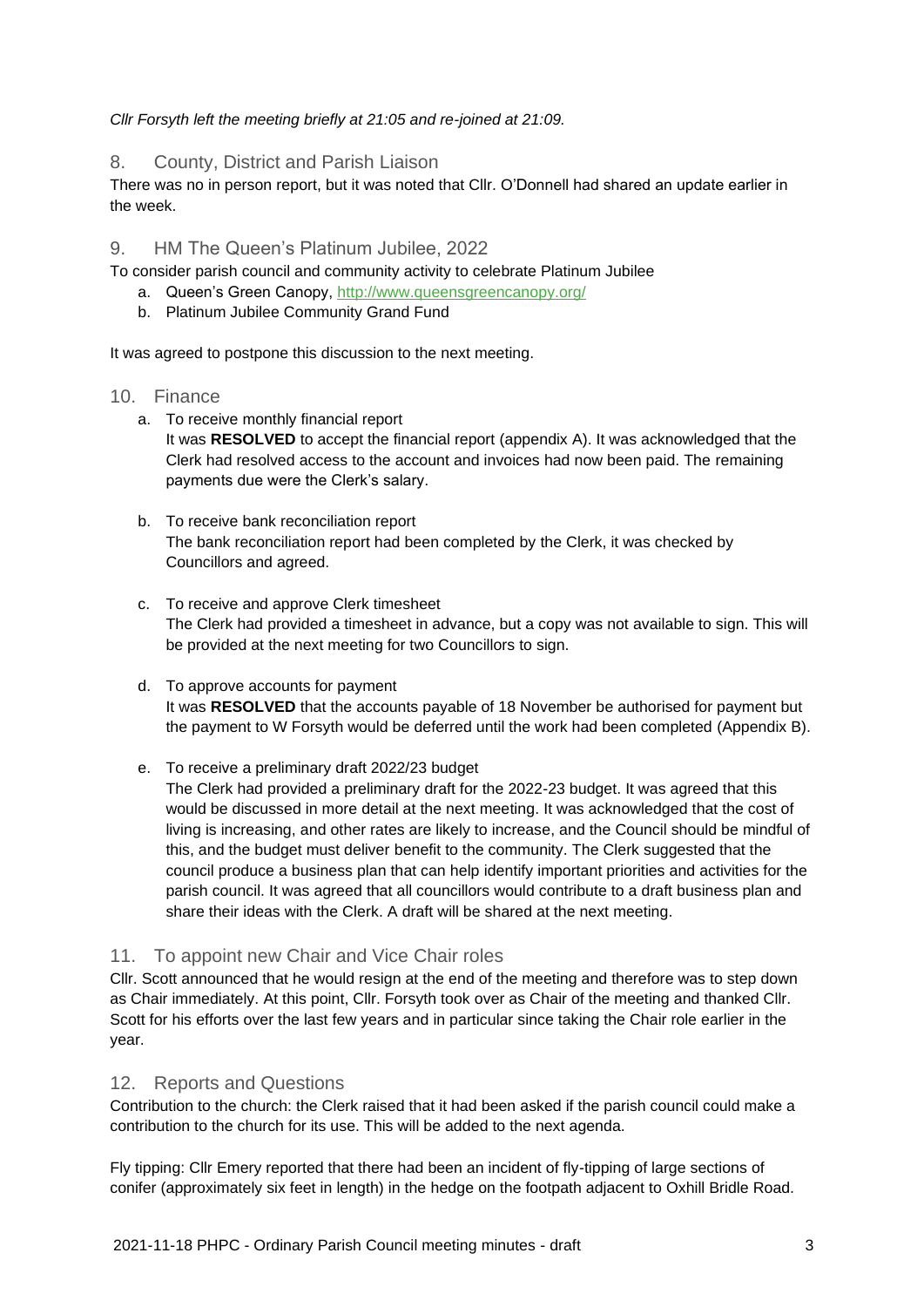*Cllr Forsyth left the meeting briefly at 21:05 and re-joined at 21:09.*

8. County, District and Parish Liaison

There was no in person report, but it was noted that Cllr. O'Donnell had shared an update earlier in the week.

# 9. HM The Queen's Platinum Jubilee, 2022

To consider parish council and community activity to celebrate Platinum Jubilee

- a. Queen's Green Canopy,<http://www.queensgreencanopy.org/>
- b. Platinum Jubilee Community Grand Fund

It was agreed to postpone this discussion to the next meeting.

### 10. Finance

- a. To receive monthly financial report It was **RESOLVED** to accept the financial report (appendix A). It was acknowledged that the Clerk had resolved access to the account and invoices had now been paid. The remaining payments due were the Clerk's salary.
- b. To receive bank reconciliation report The bank reconciliation report had been completed by the Clerk, it was checked by Councillors and agreed.
- c. To receive and approve Clerk timesheet The Clerk had provided a timesheet in advance, but a copy was not available to sign. This will be provided at the next meeting for two Councillors to sign.
- d. To approve accounts for payment It was **RESOLVED** that the accounts payable of 18 November be authorised for payment but the payment to W Forsyth would be deferred until the work had been completed (Appendix B).
- e. To receive a preliminary draft 2022/23 budget

The Clerk had provided a preliminary draft for the 2022-23 budget. It was agreed that this would be discussed in more detail at the next meeting. It was acknowledged that the cost of living is increasing, and other rates are likely to increase, and the Council should be mindful of this, and the budget must deliver benefit to the community. The Clerk suggested that the council produce a business plan that can help identify important priorities and activities for the parish council. It was agreed that all councillors would contribute to a draft business plan and share their ideas with the Clerk. A draft will be shared at the next meeting.

# 11. To appoint new Chair and Vice Chair roles

Cllr. Scott announced that he would resign at the end of the meeting and therefore was to step down as Chair immediately. At this point, Cllr. Forsyth took over as Chair of the meeting and thanked Cllr. Scott for his efforts over the last few years and in particular since taking the Chair role earlier in the year.

# 12. Reports and Questions

Contribution to the church: the Clerk raised that it had been asked if the parish council could make a contribution to the church for its use. This will be added to the next agenda.

Fly tipping: Cllr Emery reported that there had been an incident of fly-tipping of large sections of conifer (approximately six feet in length) in the hedge on the footpath adjacent to Oxhill Bridle Road.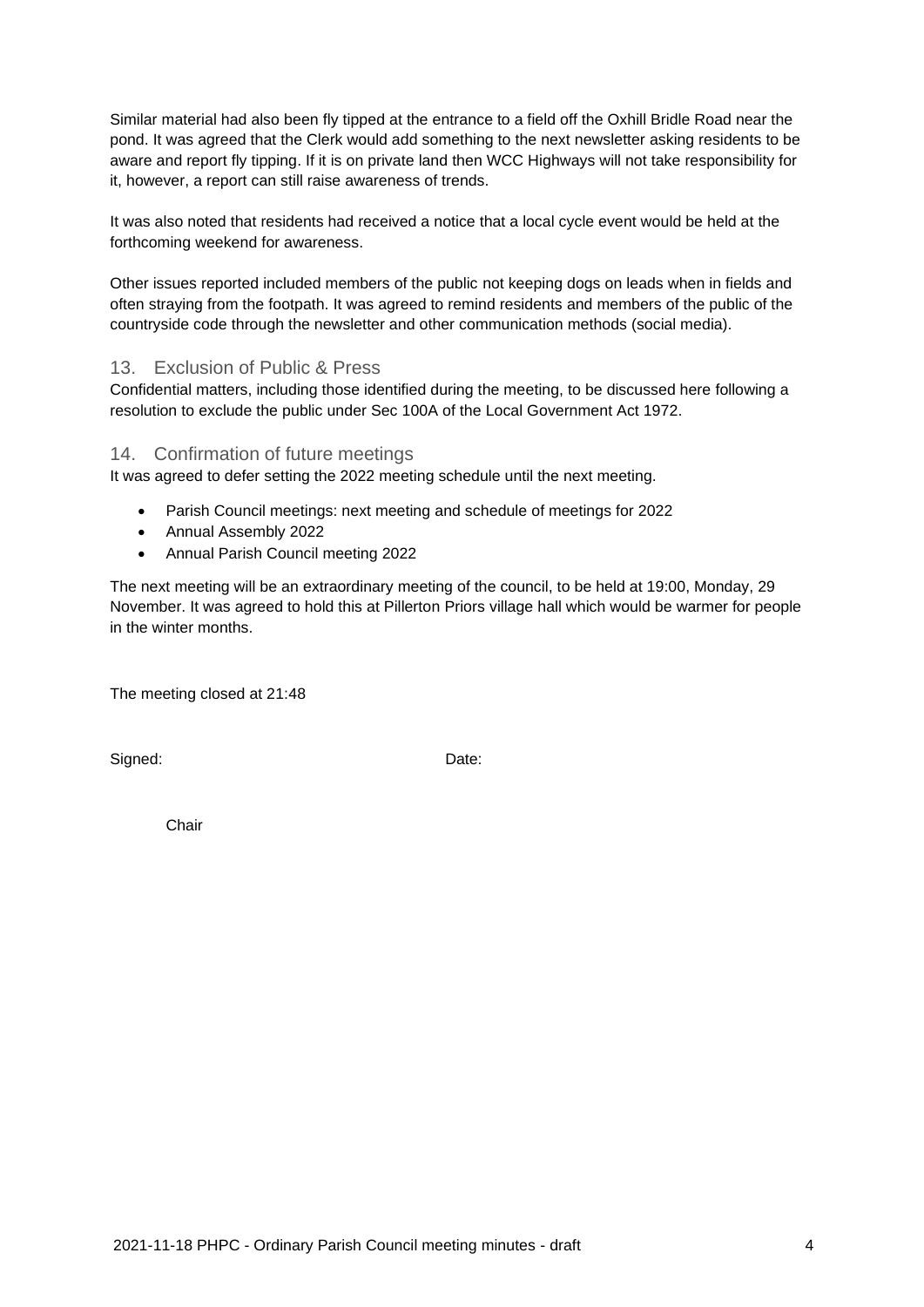Similar material had also been fly tipped at the entrance to a field off the Oxhill Bridle Road near the pond. It was agreed that the Clerk would add something to the next newsletter asking residents to be aware and report fly tipping. If it is on private land then WCC Highways will not take responsibility for it, however, a report can still raise awareness of trends.

It was also noted that residents had received a notice that a local cycle event would be held at the forthcoming weekend for awareness.

Other issues reported included members of the public not keeping dogs on leads when in fields and often straying from the footpath. It was agreed to remind residents and members of the public of the countryside code through the newsletter and other communication methods (social media).

# 13. Exclusion of Public & Press

Confidential matters, including those identified during the meeting, to be discussed here following a resolution to exclude the public under Sec 100A of the Local Government Act 1972.

#### 14. Confirmation of future meetings

It was agreed to defer setting the 2022 meeting schedule until the next meeting.

- Parish Council meetings: next meeting and schedule of meetings for 2022
- Annual Assembly 2022
- Annual Parish Council meeting 2022

The next meeting will be an extraordinary meeting of the council, to be held at 19:00, Monday, 29 November. It was agreed to hold this at Pillerton Priors village hall which would be warmer for people in the winter months.

The meeting closed at 21:48

Signed: Date:

Chair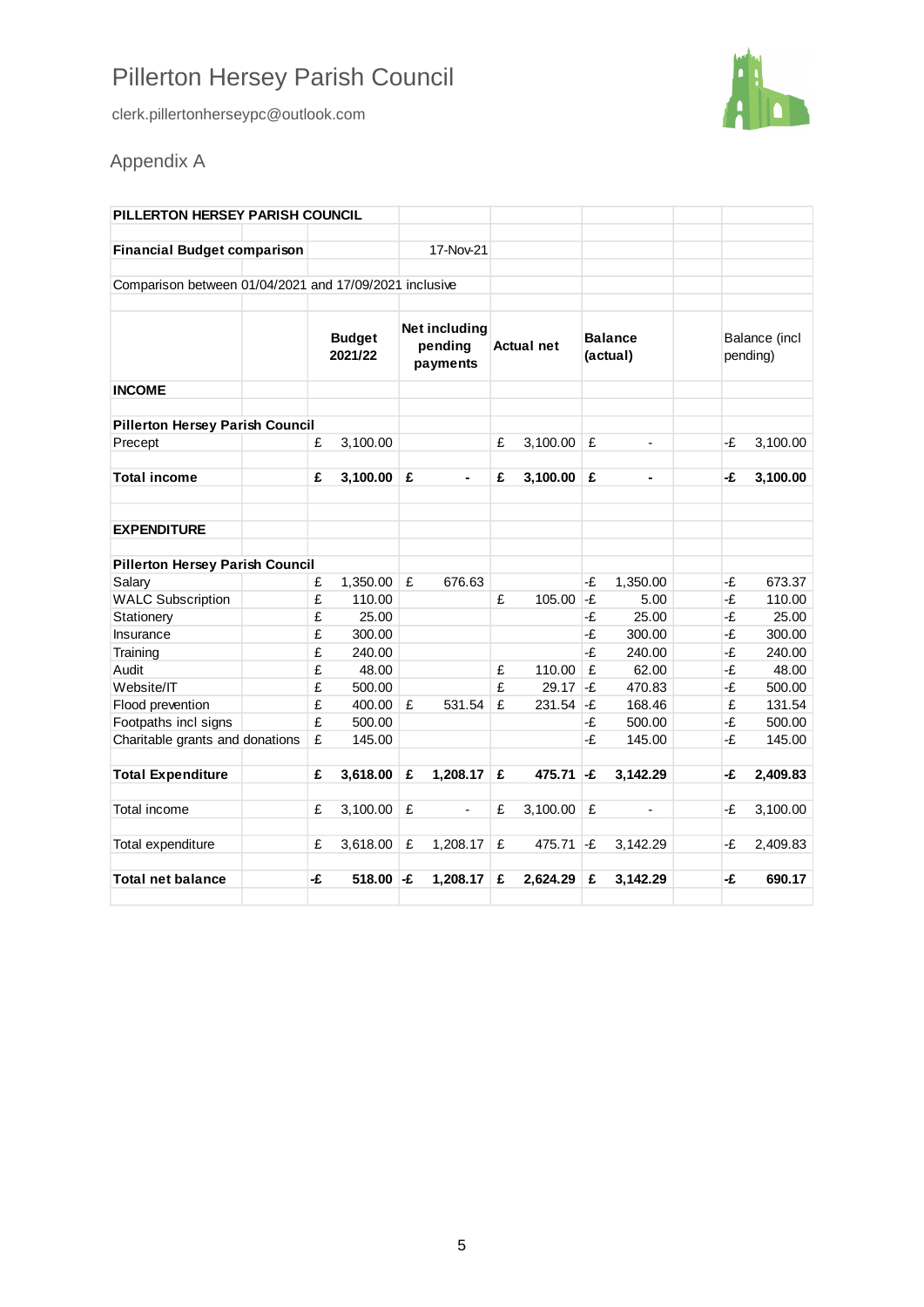# Pillerton Hersey Parish Council

clerk.pillertonherseypc@outlook.com



# Appendix A

| PILLERTON HERSEY PARISH COUNCIL                        |                          |          |                                      |                          |                   |          |                            |                |                           |          |
|--------------------------------------------------------|--------------------------|----------|--------------------------------------|--------------------------|-------------------|----------|----------------------------|----------------|---------------------------|----------|
| <b>Financial Budget comparison</b>                     |                          |          |                                      | 17-Nov-21                |                   |          |                            |                |                           |          |
| Comparison between 01/04/2021 and 17/09/2021 inclusive |                          |          |                                      |                          |                   |          |                            |                |                           |          |
|                                                        | <b>Budget</b><br>2021/22 |          | Net including<br>pending<br>payments |                          | <b>Actual net</b> |          | <b>Balance</b><br>(actual) |                | Balance (incl<br>pending) |          |
| <b>INCOME</b>                                          |                          |          |                                      |                          |                   |          |                            |                |                           |          |
| <b>Pillerton Hersey Parish Council</b>                 |                          |          |                                      |                          |                   |          |                            |                |                           |          |
| Precept                                                | £                        | 3,100.00 |                                      |                          | £                 | 3,100.00 | £                          | $\overline{a}$ | -£                        | 3,100.00 |
| <b>Total income</b>                                    | £                        | 3,100.00 | ∣£                                   |                          | £                 | 3,100.00 | £                          | ä,             | -£                        | 3,100.00 |
| <b>EXPENDITURE</b>                                     |                          |          |                                      |                          |                   |          |                            |                |                           |          |
| <b>Pillerton Hersey Parish Council</b>                 |                          |          |                                      |                          |                   |          |                            |                |                           |          |
| Salary                                                 | £                        | 1,350.00 | £                                    | 676.63                   |                   |          | -£                         | 1,350.00       | -£                        | 673.37   |
| <b>WALC Subscription</b>                               | £                        | 110.00   |                                      |                          | £                 | 105.00   | $-F$                       | 5.00           | -£                        | 110.00   |
| Stationery                                             | £                        | 25.00    |                                      |                          |                   |          | -£                         | 25.00          | -£                        | 25.00    |
| Insurance                                              | £                        | 300.00   |                                      |                          |                   |          | -£                         | 300.00         | -£                        | 300.00   |
| Training                                               | £                        | 240.00   |                                      |                          |                   |          | -£                         | 240.00         | -£                        | 240.00   |
| Audit                                                  | £                        | 48.00    |                                      |                          | £                 | 110.00   | £                          | 62.00          | -£                        | 48.00    |
| Website/IT                                             | £                        | 500.00   |                                      |                          | £                 | 29.17    | -£                         | 470.83         | -£                        | 500.00   |
| Flood prevention                                       | £                        | 400.00   | £                                    | 531.54                   | £                 | 231.54   | -£                         | 168.46         | £                         | 131.54   |
| Footpaths incl signs                                   | £                        | 500.00   |                                      |                          |                   |          | -£                         | 500.00         | -£                        | 500.00   |
| Charitable grants and donations                        | £                        | 145.00   |                                      |                          |                   |          | -£                         | 145.00         | -£                        | 145.00   |
| <b>Total Expenditure</b>                               | £                        | 3,618.00 | £                                    | 1,208.17                 | £                 | 475.71   | -£                         | 3,142.29       | -£                        | 2,409.83 |
| Total income                                           | £                        | 3,100.00 | £                                    | $\overline{\phantom{0}}$ | £                 | 3,100.00 | £                          | ÷,             | -£                        | 3,100.00 |
| Total expenditure                                      | £                        | 3,618.00 | £                                    | 1,208.17                 | £                 | 475.71   | -£                         | 3,142.29       | -£                        | 2,409.83 |
| <b>Total net balance</b>                               | -£                       | 518.00   | -£                                   | 1,208.17                 | £                 | 2,624.29 | £                          | 3,142.29       | -£                        | 690.17   |
|                                                        |                          |          |                                      |                          |                   |          |                            |                |                           |          |